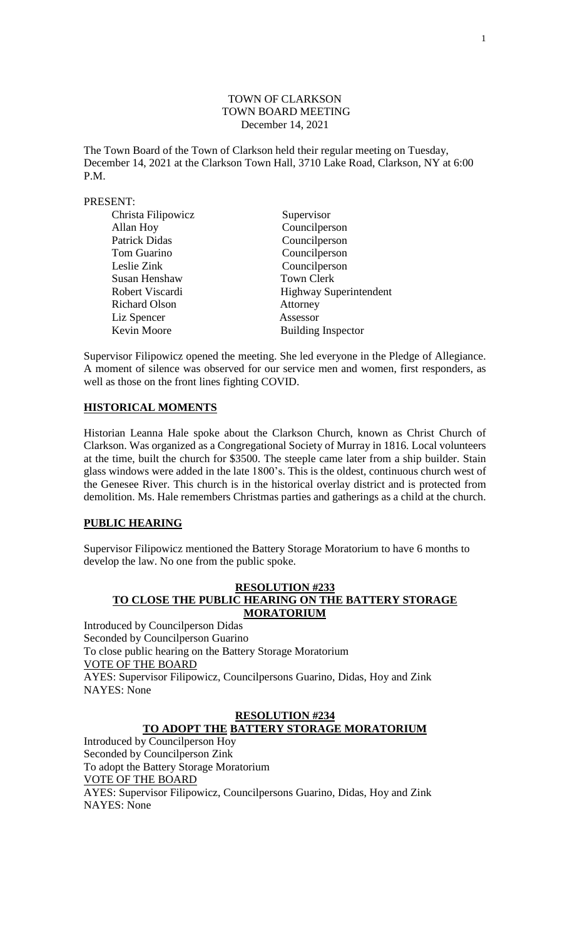## TOWN OF CLARKSON TOWN BOARD MEETING December 14, 2021

The Town Board of the Town of Clarkson held their regular meeting on Tuesday, December 14, 2021 at the Clarkson Town Hall, 3710 Lake Road, Clarkson, NY at 6:00 P.M.

## PRESENT:

| Christa Filipowicz   | Supervisor                    |
|----------------------|-------------------------------|
| Allan Hoy            | Councilperson                 |
| <b>Patrick Didas</b> | Councilperson                 |
| Tom Guarino          | Councilperson                 |
| Leslie Zink          | Councilperson                 |
| Susan Henshaw        | <b>Town Clerk</b>             |
| Robert Viscardi      | <b>Highway Superintendent</b> |
| <b>Richard Olson</b> | Attorney                      |
| Liz Spencer          | Assessor                      |
| Kevin Moore          | <b>Building Inspector</b>     |

Supervisor Filipowicz opened the meeting. She led everyone in the Pledge of Allegiance. A moment of silence was observed for our service men and women, first responders, as well as those on the front lines fighting COVID.

## **HISTORICAL MOMENTS**

Historian Leanna Hale spoke about the Clarkson Church, known as Christ Church of Clarkson. Was organized as a Congregational Society of Murray in 1816. Local volunteers at the time, built the church for \$3500. The steeple came later from a ship builder. Stain glass windows were added in the late 1800's. This is the oldest, continuous church west of the Genesee River. This church is in the historical overlay district and is protected from demolition. Ms. Hale remembers Christmas parties and gatherings as a child at the church.

## **PUBLIC HEARING**

Supervisor Filipowicz mentioned the Battery Storage Moratorium to have 6 months to develop the law. No one from the public spoke.

## **RESOLUTION #233 TO CLOSE THE PUBLIC HEARING ON THE BATTERY STORAGE MORATORIUM**

Introduced by Councilperson Didas Seconded by Councilperson Guarino To close public hearing on the Battery Storage Moratorium VOTE OF THE BOARD AYES: Supervisor Filipowicz, Councilpersons Guarino, Didas, Hoy and Zink NAYES: None

# **RESOLUTION #234 TO ADOPT THE BATTERY STORAGE MORATORIUM**

Introduced by Councilperson Hoy Seconded by Councilperson Zink To adopt the Battery Storage Moratorium VOTE OF THE BOARD AYES: Supervisor Filipowicz, Councilpersons Guarino, Didas, Hoy and Zink NAYES: None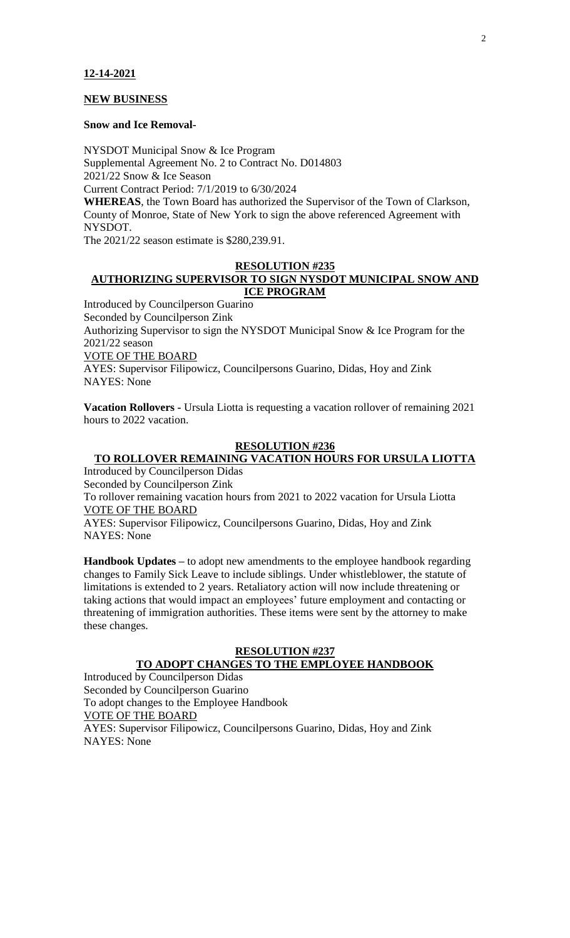## **NEW BUSINESS**

#### **Snow and Ice Removal-**

NYSDOT Municipal Snow & Ice Program Supplemental Agreement No. 2 to Contract No. D014803 2021/22 Snow & Ice Season Current Contract Period: 7/1/2019 to 6/30/2024

**WHEREAS**, the Town Board has authorized the Supervisor of the Town of Clarkson, County of Monroe, State of New York to sign the above referenced Agreement with NYSDOT.

The 2021/22 season estimate is \$280,239.91.

## **RESOLUTION #235 AUTHORIZING SUPERVISOR TO SIGN NYSDOT MUNICIPAL SNOW AND ICE PROGRAM**

Introduced by Councilperson Guarino Seconded by Councilperson Zink Authorizing Supervisor to sign the NYSDOT Municipal Snow & Ice Program for the 2021/22 season VOTE OF THE BOARD AYES: Supervisor Filipowicz, Councilpersons Guarino, Didas, Hoy and Zink NAYES: None

**Vacation Rollovers -** Ursula Liotta is requesting a vacation rollover of remaining 2021 hours to 2022 vacation.

## **RESOLUTION #236**

# **TO ROLLOVER REMAINING VACATION HOURS FOR URSULA LIOTTA**

Introduced by Councilperson Didas Seconded by Councilperson Zink To rollover remaining vacation hours from 2021 to 2022 vacation for Ursula Liotta VOTE OF THE BOARD AYES: Supervisor Filipowicz, Councilpersons Guarino, Didas, Hoy and Zink NAYES: None

**Handbook Updates –** to adopt new amendments to the employee handbook regarding changes to Family Sick Leave to include siblings. Under whistleblower, the statute of limitations is extended to 2 years. Retaliatory action will now include threatening or taking actions that would impact an employees' future employment and contacting or threatening of immigration authorities. These items were sent by the attorney to make these changes.

## **RESOLUTION #237**

## **TO ADOPT CHANGES TO THE EMPLOYEE HANDBOOK**

Introduced by Councilperson Didas Seconded by Councilperson Guarino To adopt changes to the Employee Handbook VOTE OF THE BOARD AYES: Supervisor Filipowicz, Councilpersons Guarino, Didas, Hoy and Zink NAYES: None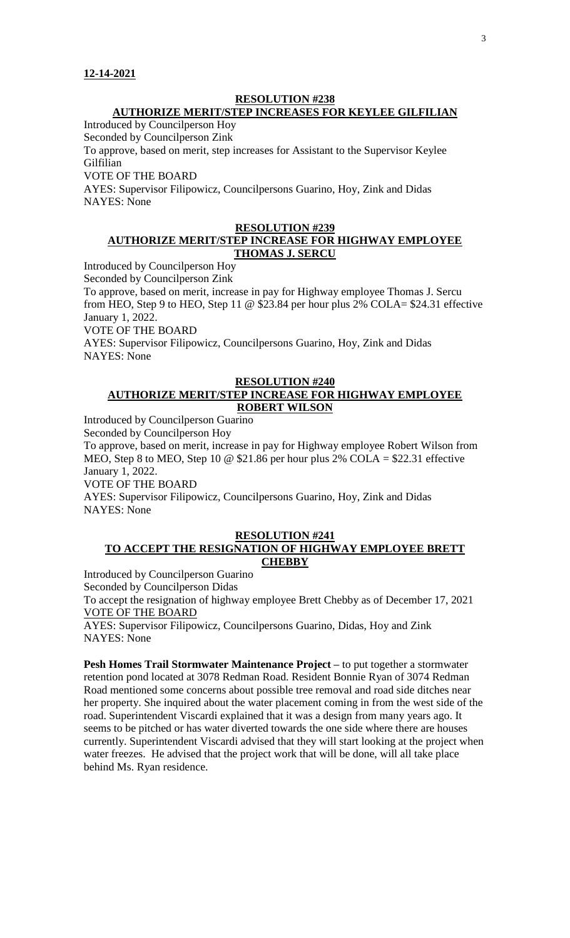## **RESOLUTION #238 AUTHORIZE MERIT/STEP INCREASES FOR KEYLEE GILFILIAN**

Introduced by Councilperson Hoy

Seconded by Councilperson Zink

To approve, based on merit, step increases for Assistant to the Supervisor Keylee Gilfilian

VOTE OF THE BOARD

AYES: Supervisor Filipowicz, Councilpersons Guarino, Hoy, Zink and Didas NAYES: None

# **RESOLUTION #239**

## **AUTHORIZE MERIT/STEP INCREASE FOR HIGHWAY EMPLOYEE THOMAS J. SERCU**

Introduced by Councilperson Hoy Seconded by Councilperson Zink

To approve, based on merit, increase in pay for Highway employee Thomas J. Sercu from HEO, Step 9 to HEO, Step 11 @ \$23.84 per hour plus 2% COLA= \$24.31 effective January 1, 2022.

VOTE OF THE BOARD

AYES: Supervisor Filipowicz, Councilpersons Guarino, Hoy, Zink and Didas NAYES: None

## **RESOLUTION #240 AUTHORIZE MERIT/STEP INCREASE FOR HIGHWAY EMPLOYEE ROBERT WILSON**

Introduced by Councilperson Guarino

Seconded by Councilperson Hoy

To approve, based on merit, increase in pay for Highway employee Robert Wilson from MEO, Step 8 to MEO, Step 10 @ \$21.86 per hour plus 2% COLA = \$22.31 effective January 1, 2022.

VOTE OF THE BOARD

AYES: Supervisor Filipowicz, Councilpersons Guarino, Hoy, Zink and Didas NAYES: None

## **RESOLUTION #241 TO ACCEPT THE RESIGNATION OF HIGHWAY EMPLOYEE BRETT CHEBBY**

Introduced by Councilperson Guarino

Seconded by Councilperson Didas

To accept the resignation of highway employee Brett Chebby as of December 17, 2021 VOTE OF THE BOARD

AYES: Supervisor Filipowicz, Councilpersons Guarino, Didas, Hoy and Zink NAYES: None

**Pesh Homes Trail Stormwater Maintenance Project –** to put together a stormwater retention pond located at 3078 Redman Road. Resident Bonnie Ryan of 3074 Redman Road mentioned some concerns about possible tree removal and road side ditches near her property. She inquired about the water placement coming in from the west side of the road. Superintendent Viscardi explained that it was a design from many years ago. It seems to be pitched or has water diverted towards the one side where there are houses currently. Superintendent Viscardi advised that they will start looking at the project when water freezes. He advised that the project work that will be done, will all take place behind Ms. Ryan residence.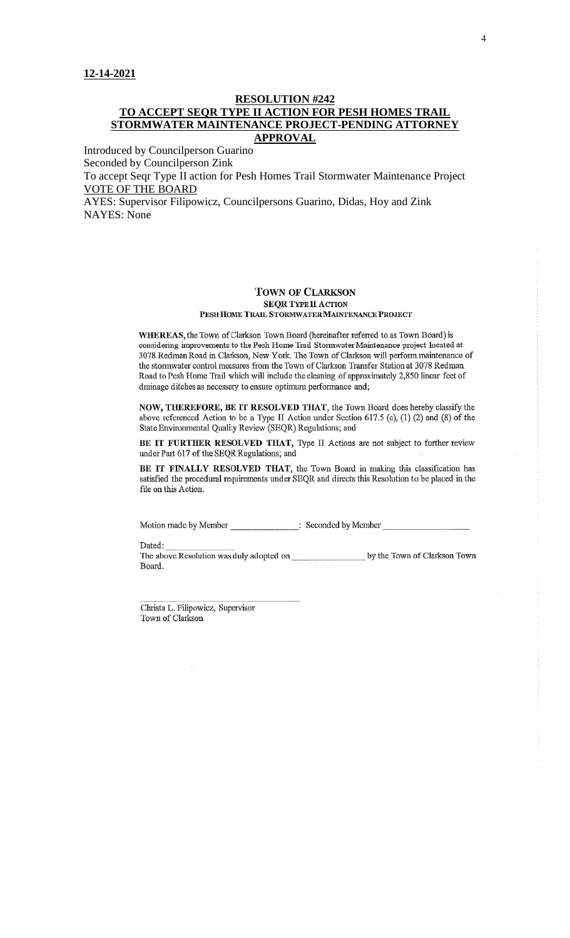## **RESOLUTION #242 TO ACCEPT SEQR TYPE II ACTION FOR PESH HOMES TRAIL STORMWATER MAINTENANCE PROJECT-PENDING ATTORNEY APPROVAL**

Introduced by Councilperson Guarino Seconded by Councilperson Zink To accept Seqr Type II action for Pesh Homes Trail Stormwater Maintenance Project VOTE OF THE BOARD

AYES: Supervisor Filipowicz, Councilpersons Guarino, Didas, Hoy and Zink NAYES: None

#### **TOWN OF CLARKSON SEQR TYPE II ACTION** PESH HOME TRAIL STORMWATER MAINTENANCE PROJECT

WHEREAS, the Town of Clarkson Town Board (hereinafter referred to as Town Board) is considering improvements to the Pesh Home Trail Stormwater Maintenance project located at 3078 Redman Road in Clarkson, New York. The Town of Clarkson will perform maintenance of the stormwater control measures from the Town of Clarkson Transfer Station at 3078 Redman Road to Pesh Home Trail which will include the cleaning of approximately 2,850 linear feet of drainage ditches as necessary to ensure optimum performance and;

NOW, THEREFORE, BE IT RESOLVED THAT, the Town Board does hereby classify the above referenced Action to be a Type II Action under Section 617.5 (c), (1) (2) and (8) of the State Environmental Quality Review (SEQR) Regulations; and

BE IT FURTHER RESOLVED THAT, Type II Actions are not subject to further review under Part 617 of the SEQR Regulations; and

BE IT FINALLY RESOLVED THAT, the Town Board in making this classification has satisfied the procedural requirements under SEQR and directs this Resolution to be placed in the file on this Action.

Motion made by Member \_\_\_\_\_\_\_\_\_\_\_\_\_\_\_\_\_\_\_\_\_: Seconded by Member

Dated:

The above Resolution was duly adopted on by the Town of Clarkson Town Board.

Christa L. Filipowicz, Supervisor Town of Clarkson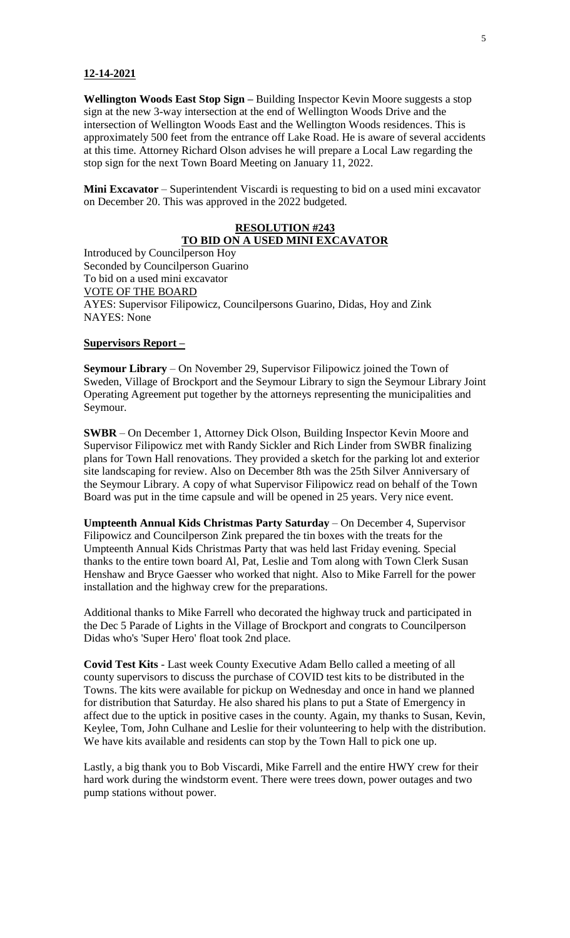**Wellington Woods East Stop Sign –** Building Inspector Kevin Moore suggests a stop sign at the new 3-way intersection at the end of Wellington Woods Drive and the intersection of Wellington Woods East and the Wellington Woods residences. This is approximately 500 feet from the entrance off Lake Road. He is aware of several accidents at this time. Attorney Richard Olson advises he will prepare a Local Law regarding the stop sign for the next Town Board Meeting on January 11, 2022.

**Mini Excavator** – Superintendent Viscardi is requesting to bid on a used mini excavator on December 20. This was approved in the 2022 budgeted.

# **RESOLUTION #243 TO BID ON A USED MINI EXCAVATOR**

Introduced by Councilperson Hoy Seconded by Councilperson Guarino To bid on a used mini excavator VOTE OF THE BOARD AYES: Supervisor Filipowicz, Councilpersons Guarino, Didas, Hoy and Zink NAYES: None

#### **Supervisors Report –**

**Seymour Library** – On November 29, Supervisor Filipowicz joined the Town of Sweden, Village of Brockport and the Seymour Library to sign the Seymour Library Joint Operating Agreement put together by the attorneys representing the municipalities and Seymour.

**SWBR** – On December 1, Attorney Dick Olson, Building Inspector Kevin Moore and Supervisor Filipowicz met with Randy Sickler and Rich Linder from SWBR finalizing plans for Town Hall renovations. They provided a sketch for the parking lot and exterior site landscaping for review. Also on December 8th was the 25th Silver Anniversary of the Seymour Library. A copy of what Supervisor Filipowicz read on behalf of the Town Board was put in the time capsule and will be opened in 25 years. Very nice event.

**Umpteenth Annual Kids Christmas Party Saturday** – On December 4, Supervisor Filipowicz and Councilperson Zink prepared the tin boxes with the treats for the Umpteenth Annual Kids Christmas Party that was held last Friday evening. Special thanks to the entire town board Al, Pat, Leslie and Tom along with Town Clerk Susan Henshaw and Bryce Gaesser who worked that night. Also to Mike Farrell for the power installation and the highway crew for the preparations.

Additional thanks to Mike Farrell who decorated the highway truck and participated in the Dec 5 Parade of Lights in the Village of Brockport and congrats to Councilperson Didas who's 'Super Hero' float took 2nd place.

**Covid Test Kits** - Last week County Executive Adam Bello called a meeting of all county supervisors to discuss the purchase of COVID test kits to be distributed in the Towns. The kits were available for pickup on Wednesday and once in hand we planned for distribution that Saturday. He also shared his plans to put a State of Emergency in affect due to the uptick in positive cases in the county. Again, my thanks to Susan, Kevin, Keylee, Tom, John Culhane and Leslie for their volunteering to help with the distribution. We have kits available and residents can stop by the Town Hall to pick one up.

Lastly, a big thank you to Bob Viscardi, Mike Farrell and the entire HWY crew for their hard work during the windstorm event. There were trees down, power outages and two pump stations without power.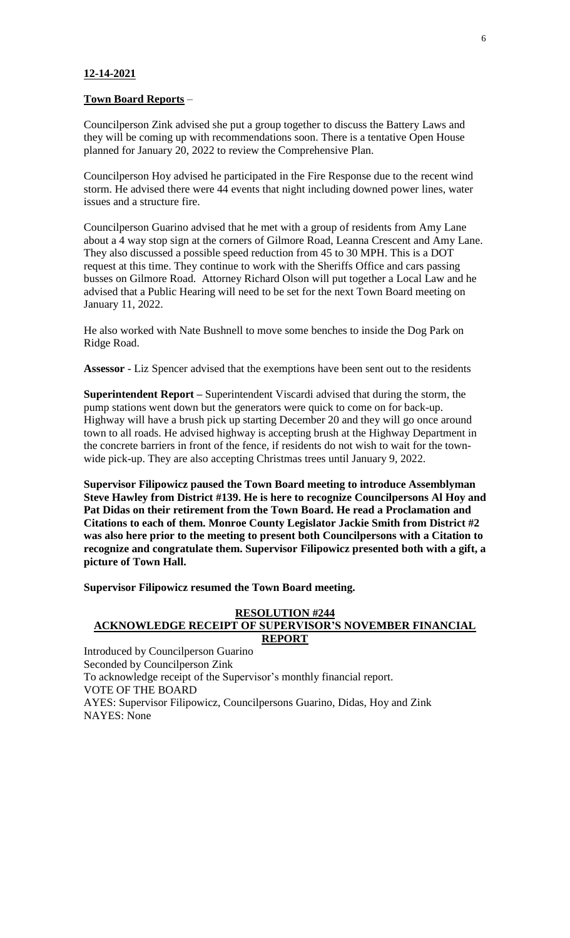## **Town Board Reports** –

Councilperson Zink advised she put a group together to discuss the Battery Laws and they will be coming up with recommendations soon. There is a tentative Open House planned for January 20, 2022 to review the Comprehensive Plan.

Councilperson Hoy advised he participated in the Fire Response due to the recent wind storm. He advised there were 44 events that night including downed power lines, water issues and a structure fire.

Councilperson Guarino advised that he met with a group of residents from Amy Lane about a 4 way stop sign at the corners of Gilmore Road, Leanna Crescent and Amy Lane. They also discussed a possible speed reduction from 45 to 30 MPH. This is a DOT request at this time. They continue to work with the Sheriffs Office and cars passing busses on Gilmore Road. Attorney Richard Olson will put together a Local Law and he advised that a Public Hearing will need to be set for the next Town Board meeting on January 11, 2022.

He also worked with Nate Bushnell to move some benches to inside the Dog Park on Ridge Road.

**Assessor** - Liz Spencer advised that the exemptions have been sent out to the residents

**Superintendent Report –** Superintendent Viscardi advised that during the storm, the pump stations went down but the generators were quick to come on for back-up. Highway will have a brush pick up starting December 20 and they will go once around town to all roads. He advised highway is accepting brush at the Highway Department in the concrete barriers in front of the fence, if residents do not wish to wait for the townwide pick-up. They are also accepting Christmas trees until January 9, 2022.

**Supervisor Filipowicz paused the Town Board meeting to introduce Assemblyman Steve Hawley from District #139. He is here to recognize Councilpersons Al Hoy and Pat Didas on their retirement from the Town Board. He read a Proclamation and Citations to each of them. Monroe County Legislator Jackie Smith from District #2 was also here prior to the meeting to present both Councilpersons with a Citation to recognize and congratulate them. Supervisor Filipowicz presented both with a gift, a picture of Town Hall.**

**Supervisor Filipowicz resumed the Town Board meeting.**

#### **RESOLUTION #244 ACKNOWLEDGE RECEIPT OF SUPERVISOR'S NOVEMBER FINANCIAL REPORT**

Introduced by Councilperson Guarino Seconded by Councilperson Zink To acknowledge receipt of the Supervisor's monthly financial report. VOTE OF THE BOARD AYES: Supervisor Filipowicz, Councilpersons Guarino, Didas, Hoy and Zink NAYES: None